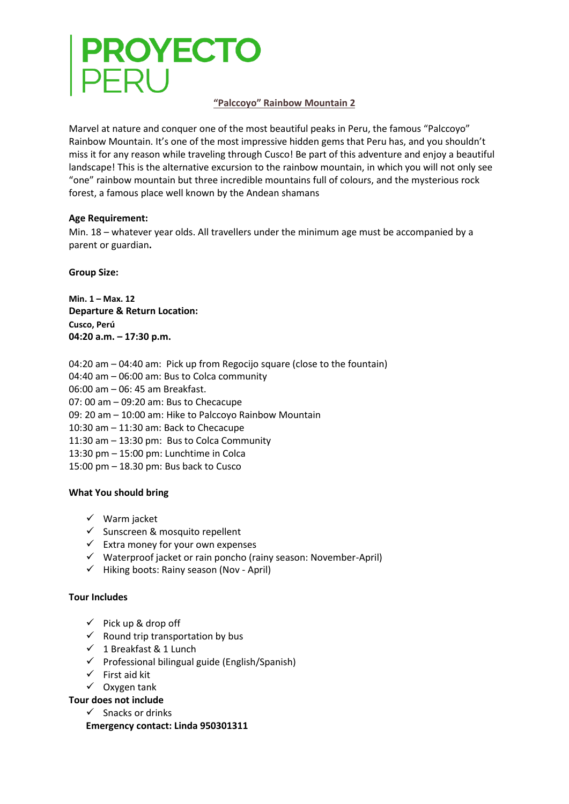# **PROYECTO**<br>PERU

## **"Palccoyo" Rainbow Mountain 2**

Marvel at nature and conquer one of the most beautiful peaks in Peru, the famous "Palccoyo" Rainbow Mountain. It's one of the most impressive hidden gems that Peru has, and you shouldn't miss it for any reason while traveling through Cusco! Be part of this adventure and enjoy a beautiful landscape! This is the alternative excursion to the rainbow mountain, in which you will not only see "one" rainbow mountain but three incredible mountains full of colours, and the mysterious rock forest, a famous place well known by the Andean shamans

### **Age Requirement:**

Min. 18 – whatever year olds. All travellers under the minimum age must be accompanied by a parent or guardian**.**

**Group Size:**

**Min. 1 – Max. 12 Departure & Return Location: Cusco, Perú 04:20 a.m. – 17:30 p.m.**

- 04:20 am 04:40 am: Pick up from Regocijo square (close to the fountain)
- 04:40 am 06:00 am: Bus to Colca community

06:00 am – 06: 45 am Breakfast.

07: 00 am – 09:20 am: Bus to Checacupe

- 09: 20 am 10:00 am: Hike to Palccoyo Rainbow Mountain
- 10:30 am 11:30 am: Back to Checacupe
- 11:30 am 13:30 pm: Bus to Colca Community
- 13:30 pm 15:00 pm: Lunchtime in Colca

15:00 pm – 18.30 pm: Bus back to Cusco

# **What You should bring**

- $\checkmark$  Warm jacket
- $\checkmark$  Sunscreen & mosquito repellent
- $\checkmark$  Extra money for your own expenses
- $\checkmark$  Waterproof jacket or rain poncho (rainy season: November-April)
- $\checkmark$  Hiking boots: Rainy season (Nov April)

### **Tour Includes**

- $\checkmark$  Pick up & drop off
- $\checkmark$  Round trip transportation by bus
- $\checkmark$  1 Breakfast & 1 Lunch
- $\checkmark$  Professional bilingual guide (English/Spanish)
- $\checkmark$  First aid kit
- $\checkmark$  Oxygen tank

**Tour does not include**

 $\checkmark$  Snacks or drinks

**Emergency contact: Linda 950301311**